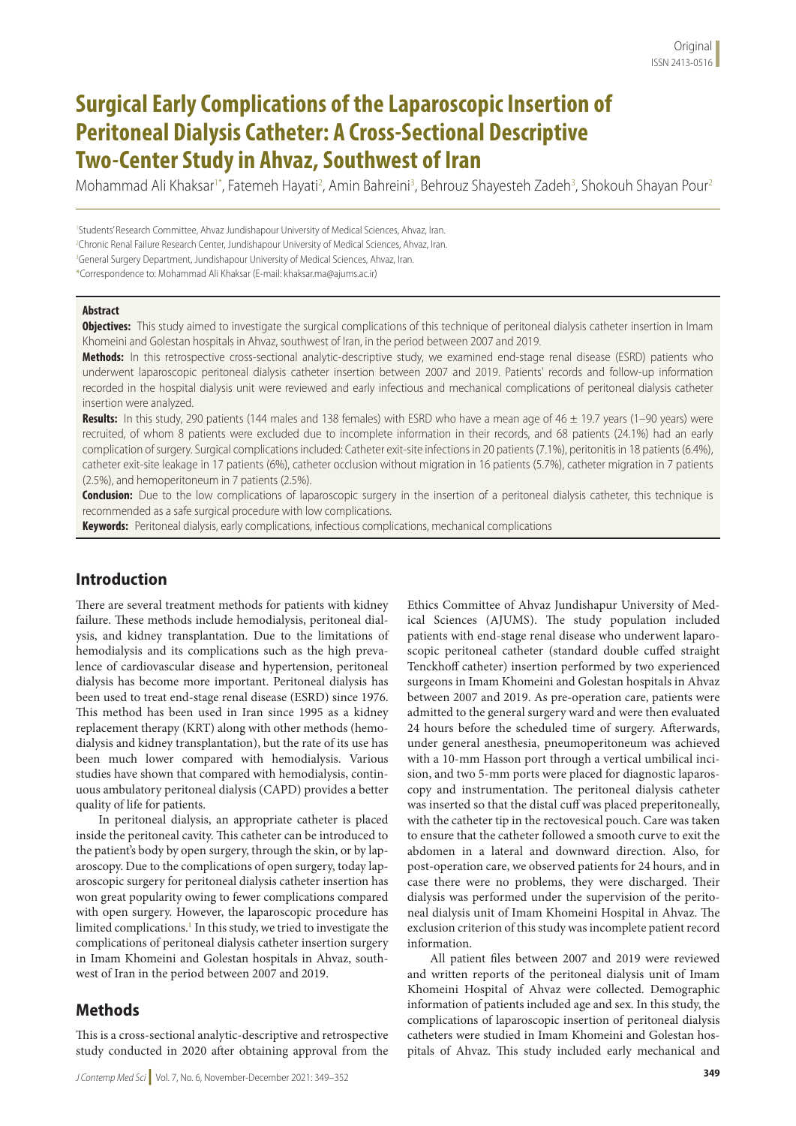# **Surgical Early Complications of the Laparoscopic Insertion of Peritoneal Dialysis Catheter: A Cross-Sectional Descriptive Two-Center Study in Ahvaz, Southwest of Iran**

Mohammad Ali Khaksar<sup>i\*</sup>, Fatemeh Hayati<sup>2</sup>, Amin Bahreini<sup>3</sup>, Behrouz Shayesteh Zadeh<sup>3</sup>, Shokouh Shayan Pour<sup>2</sup>

<sup>1</sup>Students' Research Committee, Ahvaz Jundishapour University of Medical Sciences, Ahvaz, Iran. 2 Chronic Renal Failure Research Center, Jundishapour University of Medical Sciences, Ahvaz, Iran. <sup>3</sup>General Surgery Department, Jundishapour University of Medical Sciences, Ahvaz, Iran. \*Correspondence to: Mohammad Ali Khaksar (E-mail: khaksar.ma@ajums.ac.ir)

#### **Abstract**

**Objectives:** This study aimed to investigate the surgical complications of this technique of peritoneal dialysis catheter insertion in Imam Khomeini and Golestan hospitals in Ahvaz, southwest of Iran, in the period between 2007 and 2019.

**Methods:** In this retrospective cross-sectional analytic-descriptive study, we examined end-stage renal disease (ESRD) patients who underwent laparoscopic peritoneal dialysis catheter insertion between 2007 and 2019. Patients' records and follow-up information recorded in the hospital dialysis unit were reviewed and early infectious and mechanical complications of peritoneal dialysis catheter insertion were analyzed.

**Results:** In this study, 290 patients (144 males and 138 females) with ESRD who have a mean age of 46 ± 19.7 years (1–90 years) were recruited, of whom 8 patients were excluded due to incomplete information in their records, and 68 patients (24.1%) had an early complication of surgery. Surgical complications included: Catheter exit-site infections in 20 patients (7.1%), peritonitis in 18 patients (6.4%), catheter exit-site leakage in 17 patients (6%), catheter occlusion without migration in 16 patients (5.7%), catheter migration in 7 patients (2.5%), and hemoperitoneum in 7 patients (2.5%).

**Conclusion:** Due to the low complications of laparoscopic surgery in the insertion of a peritoneal dialysis catheter, this technique is recommended as a safe surgical procedure with low complications.

**Keywords:** Peritoneal dialysis, early complications, infectious complications, mechanical complications

# **Introduction**

There are several treatment methods for patients with kidney failure. These methods include hemodialysis, peritoneal dialysis, and kidney transplantation. Due to the limitations of hemodialysis and its complications such as the high prevalence of cardiovascular disease and hypertension, peritoneal dialysis has become more important. Peritoneal dialysis has been used to treat end-stage renal disease (ESRD) since 1976. This method has been used in Iran since 1995 as a kidney replacement therapy (KRT) along with other methods (hemodialysis and kidney transplantation), but the rate of its use has been much lower compared with hemodialysis. Various studies have shown that compared with hemodialysis, continuous ambulatory peritoneal dialysis (CAPD) provides a better quality of life for patients.

In peritoneal dialysis, an appropriate catheter is placed inside the peritoneal cavity. This catheter can be introduced to the patient's body by open surgery, through the skin, or by laparoscopy. Due to the complications of open surgery, today laparoscopic surgery for peritoneal dialysis catheter insertion has won great popularity owing to fewer complications compared with open surgery. However, the laparoscopic procedure has limited complications.<sup>1</sup> In this study, we tried to investigate the complications of peritoneal dialysis catheter insertion surgery in Imam Khomeini and Golestan hospitals in Ahvaz, southwest of Iran in the period between 2007 and 2019.

## **Methods**

This is a cross-sectional analytic-descriptive and retrospective study conducted in 2020 after obtaining approval from the

Ethics Committee of Ahvaz Jundishapur University of Medical Sciences (AJUMS). The study population included patients with end-stage renal disease who underwent laparoscopic peritoneal catheter (standard double cuffed straight Tenckhoff catheter) insertion performed by two experienced surgeons in Imam Khomeini and Golestan hospitals in Ahvaz between 2007 and 2019. As pre-operation care, patients were admitted to the general surgery ward and were then evaluated 24 hours before the scheduled time of surgery. Afterwards, under general anesthesia, pneumoperitoneum was achieved with a 10-mm Hasson port through a vertical umbilical incision, and two 5-mm ports were placed for diagnostic laparoscopy and instrumentation. The peritoneal dialysis catheter was inserted so that the distal cuff was placed preperitoneally, with the catheter tip in the rectovesical pouch. Care was taken to ensure that the catheter followed a smooth curve to exit the abdomen in a lateral and downward direction. Also, for post-operation care, we observed patients for 24 hours, and in case there were no problems, they were discharged. Their dialysis was performed under the supervision of the peritoneal dialysis unit of Imam Khomeini Hospital in Ahvaz. The exclusion criterion of this study was incomplete patient record information.

All patient files between 2007 and 2019 were reviewed and written reports of the peritoneal dialysis unit of Imam Khomeini Hospital of Ahvaz were collected. Demographic information of patients included age and sex. In this study, the complications of laparoscopic insertion of peritoneal dialysis catheters were studied in Imam Khomeini and Golestan hospitals of Ahvaz. This study included early mechanical and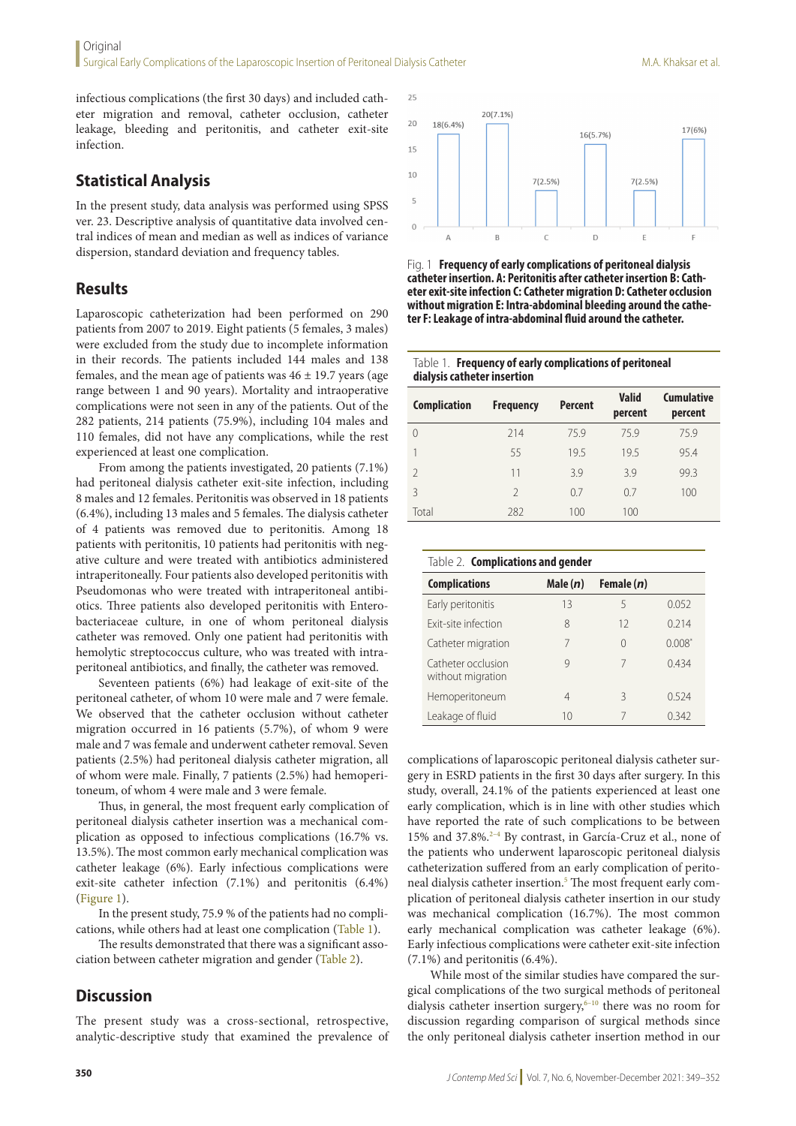infectious complications (the first 30 days) and included catheter migration and removal, catheter occlusion, catheter leakage, bleeding and peritonitis, and catheter exit-site infection.

## **Statistical Analysis**

In the present study, data analysis was performed using SPSS ver. 23. Descriptive analysis of quantitative data involved central indices of mean and median as well as indices of variance dispersion, standard deviation and frequency tables.

### **Results**

Laparoscopic catheterization had been performed on 290 patients from 2007 to 2019. Eight patients (5 females, 3 males) were excluded from the study due to incomplete information in their records. The patients included 144 males and 138 females, and the mean age of patients was  $46 \pm 19.7$  years (age range between 1 and 90 years). Mortality and intraoperative complications were not seen in any of the patients. Out of the 282 patients, 214 patients (75.9%), including 104 males and 110 females, did not have any complications, while the rest experienced at least one complication.

From among the patients investigated, 20 patients (7.1%) had peritoneal dialysis catheter exit-site infection, including 8 males and 12 females. Peritonitis was observed in 18 patients (6.4%), including 13 males and 5 females. The dialysis catheter of 4 patients was removed due to peritonitis. Among 18 patients with peritonitis, 10 patients had peritonitis with negative culture and were treated with antibiotics administered intraperitoneally. Four patients also developed peritonitis with Pseudomonas who were treated with intraperitoneal antibiotics. Three patients also developed peritonitis with Enterobacteriaceae culture, in one of whom peritoneal dialysis catheter was removed. Only one patient had peritonitis with hemolytic streptococcus culture, who was treated with intraperitoneal antibiotics, and finally, the catheter was removed.

Seventeen patients (6%) had leakage of exit-site of the peritoneal catheter, of whom 10 were male and 7 were female. We observed that the catheter occlusion without catheter migration occurred in 16 patients (5.7%), of whom 9 were male and 7 was female and underwent catheter removal. Seven patients (2.5%) had peritoneal dialysis catheter migration, all of whom were male. Finally, 7 patients (2.5%) had hemoperitoneum, of whom 4 were male and 3 were female.

Thus, in general, the most frequent early complication of peritoneal dialysis catheter insertion was a mechanical complication as opposed to infectious complications (16.7% vs. 13.5%). The most common early mechanical complication was catheter leakage (6%). Early infectious complications were exit-site catheter infection (7.1%) and peritonitis (6.4%) (Figure 1).

In the present study, 75.9 % of the patients had no complications, while others had at least one complication (Table 1).

The results demonstrated that there was a significant association between catheter migration and gender (Table 2).

#### **Discussion**

The present study was a cross-sectional, retrospective, analytic-descriptive study that examined the prevalence of



Fig. 1 **Frequency of early complications of peritoneal dialysis catheter insertion. A: Peritonitis after catheter insertion B: Catheter exit-site infection C: Catheter migration D: Catheter occlusion without migration E: Intra-abdominal bleeding around the catheter F: Leakage of intra-abdominal fluid around the catheter.**

| Table 1. <b>Frequency of early complications of peritoneal</b> |
|----------------------------------------------------------------|
| dialysis catheter insertion                                    |

| <b>Complication</b> | <b>Frequency</b> | <b>Percent</b> | <b>Valid</b><br>percent | <b>Cumulative</b><br>percent |
|---------------------|------------------|----------------|-------------------------|------------------------------|
| $\Omega$            | 214              | 75.9           | 759                     | 75.9                         |
|                     | 55               | 19.5           | 19.5                    | 95.4                         |
| $\mathcal{P}$       | 11               | 3.9            | 3.9                     | 99.3                         |
| 3                   | $\mathfrak{D}$   | 0.7            | 07                      | 100                          |
| Total               | 282              | 100            | 100                     |                              |

| Table 2. <b>Complications and gender</b> |            |              |          |  |  |  |  |
|------------------------------------------|------------|--------------|----------|--|--|--|--|
| <b>Complications</b>                     | Male $(n)$ | Female $(n)$ |          |  |  |  |  |
| Early peritonitis                        | 13         | 5            | 0.052    |  |  |  |  |
| Exit-site infection                      | 8          | 12           | 0.214    |  |  |  |  |
| Catheter migration                       | 7          | $\cap$       | $0.008*$ |  |  |  |  |
| Catheter occlusion<br>without migration  | q          | 7            | 0.434    |  |  |  |  |
| Hemoperitoneum                           | 4          | ζ            | 0.524    |  |  |  |  |
| Leakage of fluid                         | 10         |              | 0.342    |  |  |  |  |

complications of laparoscopic peritoneal dialysis catheter surgery in ESRD patients in the first 30 days after surgery. In this study, overall, 24.1% of the patients experienced at least one early complication, which is in line with other studies which have reported the rate of such complications to be between 15% and 37.8%.2–4 By contrast, in García-Cruz et al., none of the patients who underwent laparoscopic peritoneal dialysis catheterization suffered from an early complication of peritoneal dialysis catheter insertion.<sup>5</sup> The most frequent early complication of peritoneal dialysis catheter insertion in our study was mechanical complication (16.7%). The most common early mechanical complication was catheter leakage (6%). Early infectious complications were catheter exit-site infection (7.1%) and peritonitis (6.4%).

While most of the similar studies have compared the surgical complications of the two surgical methods of peritoneal dialysis catheter insertion surgery, $6-10$  there was no room for discussion regarding comparison of surgical methods since the only peritoneal dialysis catheter insertion method in our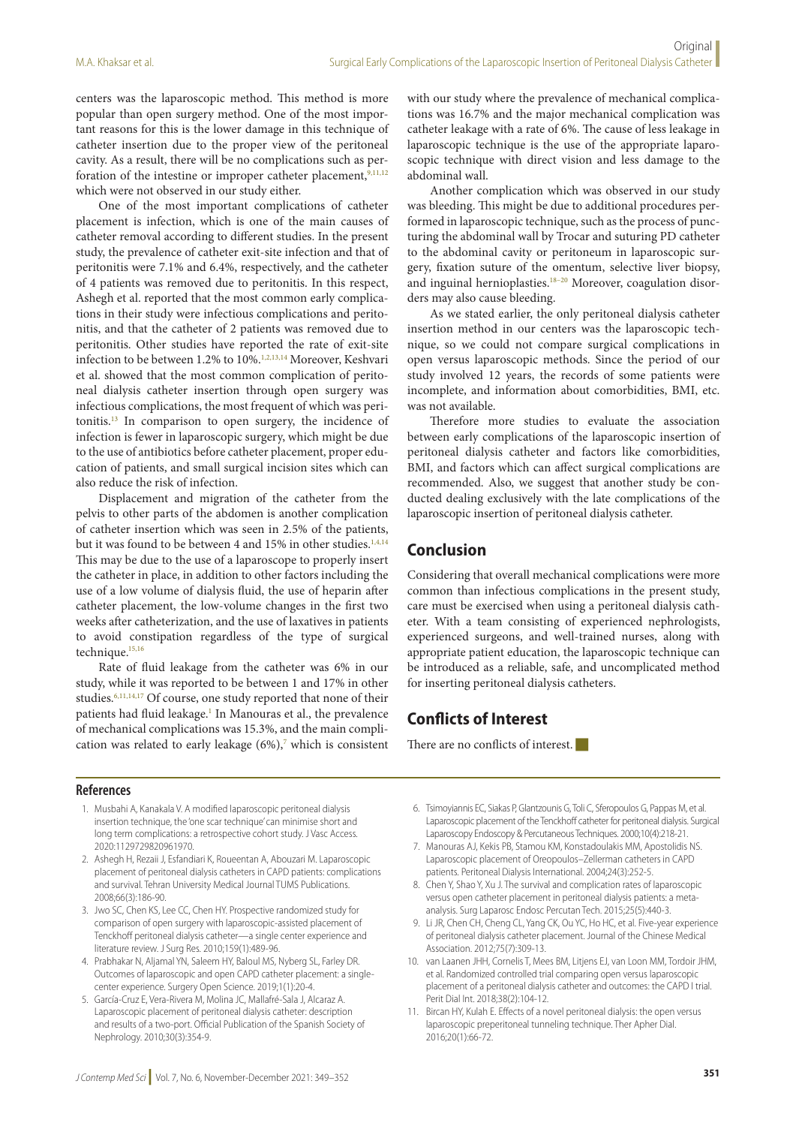centers was the laparoscopic method. This method is more popular than open surgery method. One of the most important reasons for this is the lower damage in this technique of catheter insertion due to the proper view of the peritoneal cavity. As a result, there will be no complications such as perforation of the intestine or improper catheter placement,<sup>9,11,12</sup> which were not observed in our study either.

One of the most important complications of catheter placement is infection, which is one of the main causes of catheter removal according to different studies. In the present study, the prevalence of catheter exit-site infection and that of peritonitis were 7.1% and 6.4%, respectively, and the catheter of 4 patients was removed due to peritonitis. In this respect, Ashegh et al. reported that the most common early complications in their study were infectious complications and peritonitis, and that the catheter of 2 patients was removed due to peritonitis. Other studies have reported the rate of exit-site infection to be between 1.2% to 10%.<sup>1,2,13,14</sup> Moreover, Keshvari et al. showed that the most common complication of peritoneal dialysis catheter insertion through open surgery was infectious complications, the most frequent of which was peritonitis.13 In comparison to open surgery, the incidence of infection is fewer in laparoscopic surgery, which might be due to the use of antibiotics before catheter placement, proper education of patients, and small surgical incision sites which can also reduce the risk of infection.

Displacement and migration of the catheter from the pelvis to other parts of the abdomen is another complication of catheter insertion which was seen in 2.5% of the patients, but it was found to be between 4 and 15% in other studies.<sup>1,4,14</sup> This may be due to the use of a laparoscope to properly insert the catheter in place, in addition to other factors including the use of a low volume of dialysis fluid, the use of heparin after catheter placement, the low-volume changes in the first two weeks after catheterization, and the use of laxatives in patients to avoid constipation regardless of the type of surgical technique.<sup>15,16</sup>

Rate of fluid leakage from the catheter was 6% in our study, while it was reported to be between 1 and 17% in other studies.6,11,14,17 Of course, one study reported that none of their patients had fluid leakage.<sup>1</sup> In Manouras et al., the prevalence of mechanical complications was 15.3%, and the main complication was related to early leakage  $(6\%)$ ,<sup>7</sup> which is consistent

with our study where the prevalence of mechanical complications was 16.7% and the major mechanical complication was catheter leakage with a rate of 6%. The cause of less leakage in laparoscopic technique is the use of the appropriate laparoscopic technique with direct vision and less damage to the abdominal wall.

Another complication which was observed in our study was bleeding. This might be due to additional procedures performed in laparoscopic technique, such as the process of puncturing the abdominal wall by Trocar and suturing PD catheter to the abdominal cavity or peritoneum in laparoscopic surgery, fixation suture of the omentum, selective liver biopsy, and inguinal hernioplasties.<sup>18-20</sup> Moreover, coagulation disorders may also cause bleeding.

As we stated earlier, the only peritoneal dialysis catheter insertion method in our centers was the laparoscopic technique, so we could not compare surgical complications in open versus laparoscopic methods. Since the period of our study involved 12 years, the records of some patients were incomplete, and information about comorbidities, BMI, etc. was not available.

Therefore more studies to evaluate the association between early complications of the laparoscopic insertion of peritoneal dialysis catheter and factors like comorbidities, BMI, and factors which can affect surgical complications are recommended. Also, we suggest that another study be conducted dealing exclusively with the late complications of the laparoscopic insertion of peritoneal dialysis catheter.

# **Conclusion**

Considering that overall mechanical complications were more common than infectious complications in the present study, care must be exercised when using a peritoneal dialysis catheter. With a team consisting of experienced nephrologists, experienced surgeons, and well-trained nurses, along with appropriate patient education, the laparoscopic technique can be introduced as a reliable, safe, and uncomplicated method for inserting peritoneal dialysis catheters.

# **Conflicts of Interest**

There are no conflicts of interest.

#### **References**

- 1. Musbahi A, Kanakala V. A modified laparoscopic peritoneal dialysis insertion technique, the 'one scar technique' can minimise short and long term complications: a retrospective cohort study. J Vasc Access. 2020:1129729820961970.
- 2. Ashegh H, Rezaii J, Esfandiari K, Roueentan A, Abouzari M. Laparoscopic placement of peritoneal dialysis catheters in CAPD patients: complications and survival. Tehran University Medical Journal TUMS Publications. 2008;66(3):186-90.
- 3. Jwo SC, Chen KS, Lee CC, Chen HY. Prospective randomized study for comparison of open surgery with laparoscopic-assisted placement of Tenckhoff peritoneal dialysis catheter—a single center experience and literature review. J Surg Res. 2010;159(1):489-96.
- 4. Prabhakar N, Aljamal YN, Saleem HY, Baloul MS, Nyberg SL, Farley DR. Outcomes of laparoscopic and open CAPD catheter placement: a singlecenter experience. Surgery Open Science. 2019;1(1):20-4.
- 5. García-Cruz E, Vera-Rivera M, Molina JC, Mallafré-Sala J, Alcaraz A. Laparoscopic placement of peritoneal dialysis catheter: description and results of a two-port. Official Publication of the Spanish Society of Nephrology. 2010;30(3):354-9.
- 6. Tsimoyiannis EC, Siakas P, Glantzounis G, Toli C, Sferopoulos G, Pappas M, et al. Laparoscopic placement of the Tenckhoff catheter for peritoneal dialysis. Surgical Laparoscopy Endoscopy & Percutaneous Techniques. 2000;10(4):218-21.
- 7. Manouras AJ, Kekis PB, Stamou KM, Konstadoulakis MM, Apostolidis NS. Laparoscopic placement of Oreopoulos–Zellerman catheters in CAPD patients. Peritoneal Dialysis International. 2004;24(3):252-5.
- 8. Chen Y, Shao Y, Xu J. The survival and complication rates of laparoscopic versus open catheter placement in peritoneal dialysis patients: a metaanalysis. Surg Laparosc Endosc Percutan Tech. 2015;25(5):440-3.
- 9. Li JR, Chen CH, Cheng CL, Yang CK, Ou YC, Ho HC, et al. Five-year experience of peritoneal dialysis catheter placement. Journal of the Chinese Medical Association. 2012;75(7):309-13.
- 10. van Laanen JHH, Cornelis T, Mees BM, Litjens EJ, van Loon MM, Tordoir JHM, et al. Randomized controlled trial comparing open versus laparoscopic placement of a peritoneal dialysis catheter and outcomes: the CAPD I trial. Perit Dial Int. 2018;38(2):104-12.
- 11. Bircan HY, Kulah E. Effects of a novel peritoneal dialysis: the open versus laparoscopic preperitoneal tunneling technique. Ther Apher Dial. 2016;20(1):66-72.